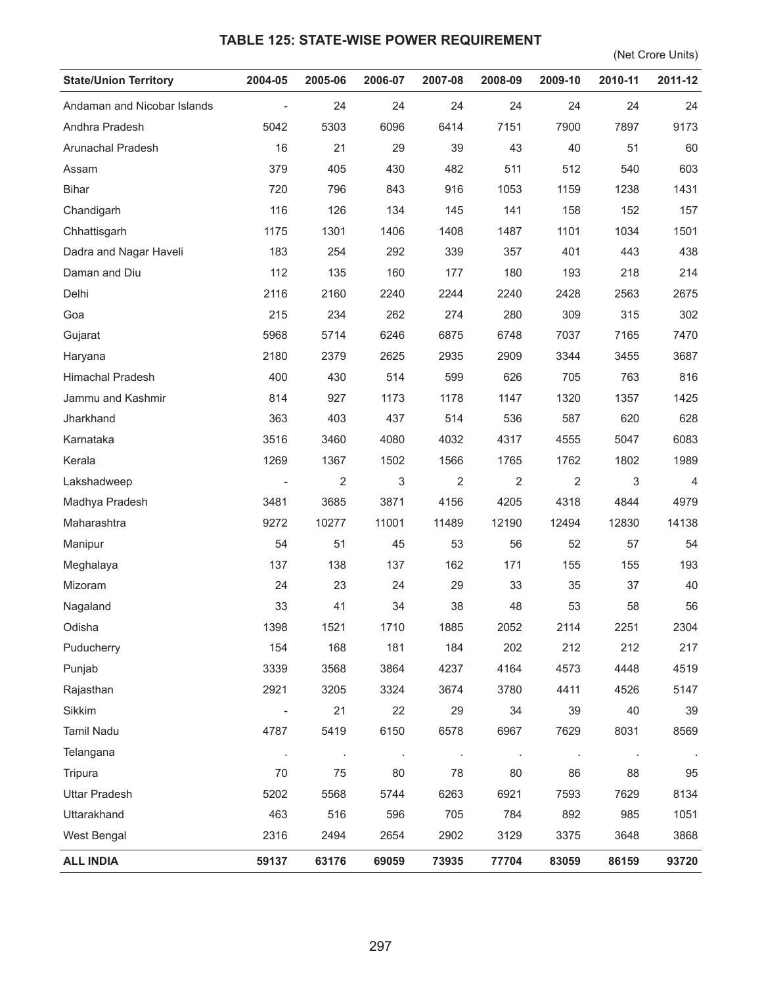## **TABLE 125: STATE-WISE POWER REQUIREMENT**

(Net Crore Units)

| <b>State/Union Territory</b> | 2004-05             | 2005-06 | 2006-07 | 2007-08        | 2008-09        | 2009-10        | 2010-11 | 2011-12        |
|------------------------------|---------------------|---------|---------|----------------|----------------|----------------|---------|----------------|
| Andaman and Nicobar Islands  | $\bar{\phantom{a}}$ | 24      | 24      | 24             | 24             | 24             | 24      | 24             |
| Andhra Pradesh               | 5042                | 5303    | 6096    | 6414           | 7151           | 7900           | 7897    | 9173           |
| Arunachal Pradesh            | 16                  | 21      | 29      | 39             | 43             | 40             | 51      | 60             |
| Assam                        | 379                 | 405     | 430     | 482            | 511            | 512            | 540     | 603            |
| <b>Bihar</b>                 | 720                 | 796     | 843     | 916            | 1053           | 1159           | 1238    | 1431           |
| Chandigarh                   | 116                 | 126     | 134     | 145            | 141            | 158            | 152     | 157            |
| Chhattisgarh                 | 1175                | 1301    | 1406    | 1408           | 1487           | 1101           | 1034    | 1501           |
| Dadra and Nagar Haveli       | 183                 | 254     | 292     | 339            | 357            | 401            | 443     | 438            |
| Daman and Diu                | 112                 | 135     | 160     | 177            | 180            | 193            | 218     | 214            |
| Delhi                        | 2116                | 2160    | 2240    | 2244           | 2240           | 2428           | 2563    | 2675           |
| Goa                          | 215                 | 234     | 262     | 274            | 280            | 309            | 315     | 302            |
| Gujarat                      | 5968                | 5714    | 6246    | 6875           | 6748           | 7037           | 7165    | 7470           |
| Haryana                      | 2180                | 2379    | 2625    | 2935           | 2909           | 3344           | 3455    | 3687           |
| Himachal Pradesh             | 400                 | 430     | 514     | 599            | 626            | 705            | 763     | 816            |
| Jammu and Kashmir            | 814                 | 927     | 1173    | 1178           | 1147           | 1320           | 1357    | 1425           |
| Jharkhand                    | 363                 | 403     | 437     | 514            | 536            | 587            | 620     | 628            |
| Karnataka                    | 3516                | 3460    | 4080    | 4032           | 4317           | 4555           | 5047    | 6083           |
| Kerala                       | 1269                | 1367    | 1502    | 1566           | 1765           | 1762           | 1802    | 1989           |
| Lakshadweep                  |                     | 2       | 3       | $\overline{2}$ | 2              | $\overline{2}$ | 3       | $\overline{4}$ |
| Madhya Pradesh               | 3481                | 3685    | 3871    | 4156           | 4205           | 4318           | 4844    | 4979           |
| Maharashtra                  | 9272                | 10277   | 11001   | 11489          | 12190          | 12494          | 12830   | 14138          |
| Manipur                      | 54                  | 51      | 45      | 53             | 56             | 52             | 57      | 54             |
| Meghalaya                    | 137                 | 138     | 137     | 162            | 171            | 155            | 155     | 193            |
| Mizoram                      | 24                  | 23      | 24      | 29             | 33             | 35             | 37      | 40             |
| Nagaland                     | 33                  | 41      | 34      | 38             | 48             | 53             | 58      | 56             |
| Odisha                       | 1398                | 1521    | 1710    | 1885           | 2052           | 2114           | 2251    | 2304           |
| Puducherry                   | 154                 | 168     | 181     | 184            | 202            | 212            | 212     | 217            |
| Punjab                       | 3339                | 3568    | 3864    | 4237           | 4164           | 4573           | 4448    | 4519           |
| Rajasthan                    | 2921                | 3205    | 3324    | 3674           | 3780           | 4411           | 4526    | 5147           |
| Sikkim                       |                     | 21      | 22      | 29             | 34             | 39             | 40      | 39             |
| Tamil Nadu                   | 4787                | 5419    | 6150    | 6578           | 6967           | 7629           | 8031    | 8569           |
| Telangana                    | $\cdot$             | $\cdot$ | $\sim$  | $\cdot$        | $\blacksquare$ | $\cdot$        | $\cdot$ |                |
| Tripura                      | 70                  | 75      | 80      | 78             | 80             | 86             | 88      | 95             |
| <b>Uttar Pradesh</b>         | 5202                | 5568    | 5744    | 6263           | 6921           | 7593           | 7629    | 8134           |
| Uttarakhand                  | 463                 | 516     | 596     | 705            | 784            | 892            | 985     | 1051           |
| West Bengal                  | 2316                | 2494    | 2654    | 2902           | 3129           | 3375           | 3648    | 3868           |
| <b>ALL INDIA</b>             | 59137               | 63176   | 69059   | 73935          | 77704          | 83059          | 86159   | 93720          |